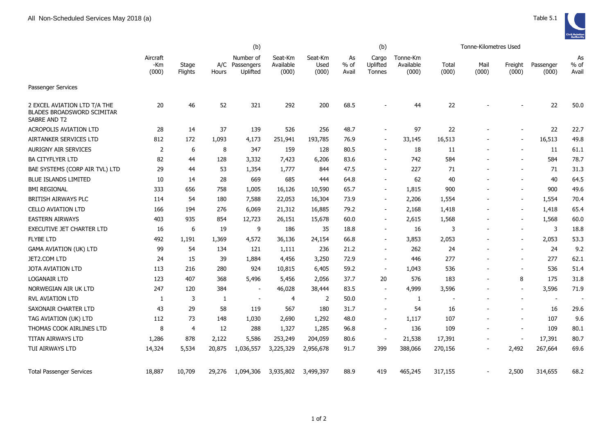

|                                                                                   | (b)                      |                  |              |                                         |                               |                          | (b)                   |                             |                                |                | Tonne-Kilometres Used    |                          |                          |                       |
|-----------------------------------------------------------------------------------|--------------------------|------------------|--------------|-----------------------------------------|-------------------------------|--------------------------|-----------------------|-----------------------------|--------------------------------|----------------|--------------------------|--------------------------|--------------------------|-----------------------|
|                                                                                   | Aircraft<br>-Km<br>(000) | Stage<br>Flights | Hours        | Number of<br>A/C Passengers<br>Uplifted | Seat-Km<br>Available<br>(000) | Seat-Km<br>Used<br>(000) | As<br>$%$ of<br>Avail | Cargo<br>Uplifted<br>Tonnes | Tonne-Km<br>Available<br>(000) | Total<br>(000) | Mail<br>(000)            | Freight<br>(000)         | Passenger<br>(000)       | As<br>$%$ of<br>Avail |
| <b>Passenger Services</b>                                                         |                          |                  |              |                                         |                               |                          |                       |                             |                                |                |                          |                          |                          |                       |
| 2 EXCEL AVIATION LTD T/A THE<br><b>BLADES BROADSWORD SCIMITAR</b><br>SABRE AND T2 | 20                       | 46               | 52           | 321                                     | 292                           | 200                      | 68.5                  |                             | 44                             | 22             |                          |                          | 22                       | 50.0                  |
| <b>ACROPOLIS AVIATION LTD</b>                                                     | 28                       | 14               | 37           | 139                                     | 526                           | 256                      | 48.7                  |                             | 97                             | 22             |                          |                          | 22                       | 22.7                  |
| AIRTANKER SERVICES LTD                                                            | 812                      | 172              | 1,093        | 4,173                                   | 251,941                       | 193,785                  | 76.9                  |                             | 33,145                         | 16,513         |                          |                          | 16,513                   | 49.8                  |
| <b>AURIGNY AIR SERVICES</b>                                                       | $\overline{2}$           | 6                | 8            | 347                                     | 159                           | 128                      | 80.5                  |                             | 18                             | 11             |                          | $\overline{\phantom{a}}$ | 11                       | 61.1                  |
| <b>BA CITYFLYER LTD</b>                                                           | 82                       | 44               | 128          | 3,332                                   | 7,423                         | 6,206                    | 83.6                  |                             | 742                            | 584            |                          |                          | 584                      | 78.7                  |
| BAE SYSTEMS (CORP AIR TVL) LTD                                                    | 29                       | 44               | 53           | 1,354                                   | 1,777                         | 844                      | 47.5                  | $\overline{\phantom{a}}$    | 227                            | 71             |                          | $\overline{\phantom{a}}$ | 71                       | 31.3                  |
| <b>BLUE ISLANDS LIMITED</b>                                                       | 10                       | 14               | 28           | 669                                     | 685                           | 444                      | 64.8                  | $\sim$                      | 62                             | 40             |                          |                          | 40                       | 64.5                  |
| <b>BMI REGIONAL</b>                                                               | 333                      | 656              | 758          | 1,005                                   | 16,126                        | 10,590                   | 65.7                  | $\blacksquare$              | 1,815                          | 900            |                          | $\sim$                   | 900                      | 49.6                  |
| <b>BRITISH AIRWAYS PLC</b>                                                        | 114                      | 54               | 180          | 7,588                                   | 22,053                        | 16,304                   | 73.9                  | $\overline{\phantom{a}}$    | 2,206                          | 1,554          |                          | $\overline{\phantom{a}}$ | 1,554                    | 70.4                  |
| <b>CELLO AVIATION LTD</b>                                                         | 166                      | 194              | 276          | 6,069                                   | 21,312                        | 16,885                   | 79.2                  |                             | 2,168                          | 1,418          |                          |                          | 1,418                    | 65.4                  |
| <b>EASTERN AIRWAYS</b>                                                            | 403                      | 935              | 854          | 12,723                                  | 26,151                        | 15,678                   | 60.0                  | $\blacksquare$              | 2,615                          | 1,568          |                          |                          | 1,568                    | 60.0                  |
| <b>EXECUTIVE JET CHARTER LTD</b>                                                  | 16                       | 6                | 19           | 9                                       | 186                           | 35                       | 18.8                  | $\sim$                      | 16                             | 3              |                          | $\sim$                   | 3                        | 18.8                  |
| <b>FLYBE LTD</b>                                                                  | 492                      | 1,191            | 1,369        | 4,572                                   | 36,136                        | 24,154                   | 66.8                  | $\overline{\phantom{a}}$    | 3,853                          | 2,053          | $\overline{\phantom{a}}$ | $\overline{\phantom{a}}$ | 2,053                    | 53.3                  |
| <b>GAMA AVIATION (UK) LTD</b>                                                     | 99                       | 54               | 134          | 121                                     | 1,111                         | 236                      | 21.2                  |                             | 262                            | 24             |                          | $\overline{\phantom{a}}$ | 24                       | 9.2                   |
| JET2.COM LTD                                                                      | 24                       | 15               | 39           | 1,884                                   | 4,456                         | 3,250                    | 72.9                  | $\overline{\phantom{a}}$    | 446                            | 277            |                          | $\overline{\phantom{a}}$ | 277                      | 62.1                  |
| JOTA AVIATION LTD                                                                 | 113                      | 216              | 280          | 924                                     | 10,815                        | 6,405                    | 59.2                  | $\sim$                      | 1,043                          | 536            |                          | $\overline{\phantom{a}}$ | 536                      | 51.4                  |
| <b>LOGANAIR LTD</b>                                                               | 123                      | 407              | 368          | 5,496                                   | 5,456                         | 2,056                    | 37.7                  | 20                          | 576                            | 183            |                          | 8                        | 175                      | 31.8                  |
| NORWEGIAN AIR UK LTD                                                              | 247                      | 120              | 384          | $\overline{\phantom{a}}$                | 46,028                        | 38,444                   | 83.5                  | $\overline{\phantom{a}}$    | 4,999                          | 3,596          | $\overline{\phantom{a}}$ | $\overline{\phantom{a}}$ | 3,596                    | 71.9                  |
| RVL AVIATION LTD                                                                  | 1                        | 3                | $\mathbf{1}$ |                                         | $\overline{4}$                | 2                        | 50.0                  |                             | 1                              |                |                          | $\overline{\phantom{a}}$ | $\overline{\phantom{a}}$ |                       |
| SAXONAIR CHARTER LTD                                                              | 43                       | 29               | 58           | 119                                     | 567                           | 180                      | 31.7                  | $\sim$                      | 54                             | 16             |                          | $\overline{\phantom{a}}$ | 16                       | 29.6                  |
| TAG AVIATION (UK) LTD                                                             | 112                      | 73               | 148          | 1,030                                   | 2,690                         | 1,292                    | 48.0                  | $\sim$                      | 1,117                          | 107            |                          | $\sim$                   | 107                      | 9.6                   |
| THOMAS COOK AIRLINES LTD                                                          | 8                        | 4                | 12           | 288                                     | 1,327                         | 1,285                    | 96.8                  | $\sim$                      | 136                            | 109            |                          | $\blacksquare$           | 109                      | 80.1                  |
| TITAN AIRWAYS LTD                                                                 | 1,286                    | 878              | 2,122        | 5,586                                   | 253,249                       | 204,059                  | 80.6                  |                             | 21,538                         | 17,391         |                          |                          | 17,391                   | 80.7                  |
| TUI AIRWAYS LTD                                                                   | 14,324                   | 5,534            | 20,875       | 1,036,557                               | 3,225,329                     | 2,956,678                | 91.7                  | 399                         | 388,066                        | 270,156        |                          | 2,492                    | 267,664                  | 69.6                  |
| <b>Total Passenger Services</b>                                                   | 18,887                   | 10,709           | 29,276       | 1,094,306                               | 3,935,802                     | 3,499,397                | 88.9                  | 419                         | 465,245                        | 317,155        |                          | 2,500                    | 314,655                  | 68.2                  |